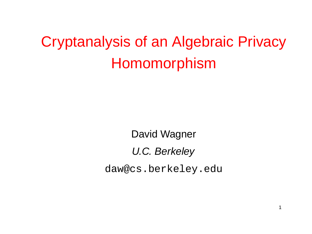# Cryptanalysis of an Algebraic Privacy Homomorphism

David Wagner

U.C. Berkeley

daw@cs.berkeley.edu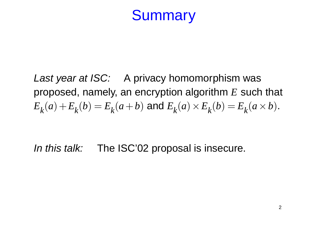## **Summary**

Last year at ISC: A privacy homomorphism was proposed, namely, an encryption algorithm *E* such that  $E_k(a) + E_k(b) = E_k(a+b)$  and  $E_k(a) \times E_k(b) = E_k(a \times b)$ .

In this talk: The ISC'02 proposal is insecure.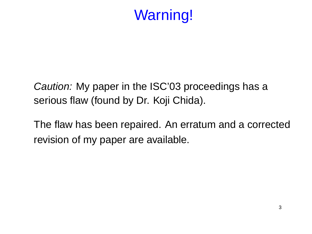# Warning!

Caution: My paper in the ISC'03 proceedings has a serious flaw (found by Dr. Koji Chida).

The flaw has been repaired. An erratum and a corrected revision of my paper are available.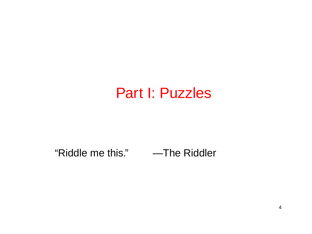## Part I: Puzzles

#### "Riddle me this." —The Riddler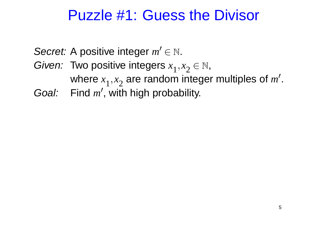## Puzzle #1: Guess the Divisor

Secret: A positive integer  $m' \in \mathbb{N}$ .

- Given: Two positive integers *x* 1 ,*x* 2  $\in \mathbb{N},$ where *x* 1 ,*x* 2 are random integer multiples of m'.
- Goal: Find m', with high probability.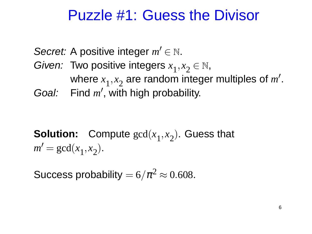## Puzzle #1: Guess the Divisor

Secret: A positive integer  $m' \in \mathbb{N}$ . Given: Two positive integers *x* 1 ,*x* 2  $\in \mathbb{N},$ where *x* 1 ,*x* 2 are random integer multiples of m'. Goal: Find m', with high probability.

**Solution:** Compute gcd(*x* 1 ,*x* 2 ). Guess that  $m' = \gcd(x)$ 1 ,*x* 2 ).

Success probability  $= 6/\pi^2 \approx 0.608$ .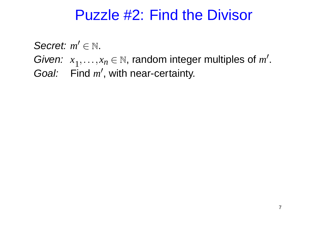## Puzzle #2: Find the Divisor

Secret:  $m' \in \mathbb{N}$ . Given: *x*  $x_1, \ldots, x_n \in \mathbb{N}$ , random integer multiples of *m'*. Goal: Find m', with near-certainty.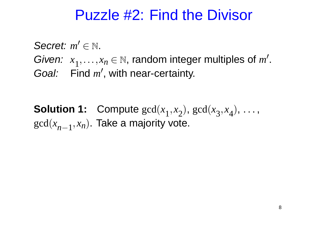## Puzzle #2: Find the Divisor

Secret:  $m' \in \mathbb{N}$ . Given: *x*  $x_1, \ldots, x_n \in \mathbb{N}$ , random integer multiples of *m'*. Goal: Find m', with near-certainty.

**Solution 1:** Compute gcd(*x* 1 ,*x* 2 ), gcd(*x* 3 ,*x* 4  $), \ldots,$ gcd(*x n*−1 ,*xn*). Take a majority vote.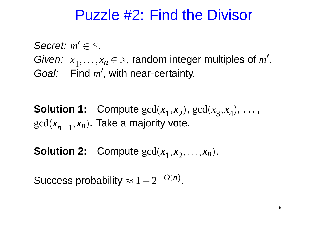## Puzzle #2: Find the Divisor

Secret:  $m' \in \mathbb{N}$ . Given: *x*  $x_1, \ldots, x_n \in \mathbb{N}$ , random integer multiples of *m'*. Goal: Find m', with near-certainty.

**Solution 1:** Compute gcd(*x* 1 ,*x* 2 ), gcd(*x* 3 ,*x* 4  $), \ldots,$ gcd(*x n*−1 ,*xn*). Take a majority vote.

**Solution 2:** Compute gcd(*x* 1 ,*x*  $(z, \ldots, x_n)$ .

Success probability  $\approx 1-2^{-O(n)}$ .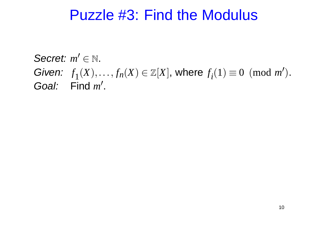### Puzzle #3: Find the Modulus

Secret:  $m' \in \mathbb{N}$ . Given: *f*  $f_1(X), \ldots, f_n(X) \in \mathbb{Z}[X]$ , where  $f_i$  $(1) \equiv 0 \pmod{m'}$ . Goal: Find  $m'$ .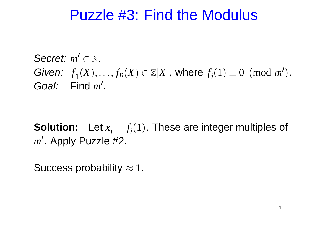### Puzzle #3: Find the Modulus

Secret:  $m' \in \mathbb{N}$ . Given: *f*  $f_1(X), \ldots, f_n(X) \in \mathbb{Z}[X]$ , where  $f_i$  $(1) \equiv 0 \pmod{m'}$ . Goal: Find  $m'$ .

**Solution:** Let  $x_i = f_i$ (1). These are integer multiples of m'. Apply Puzzle #2.

Success probability  $\approx 1$ .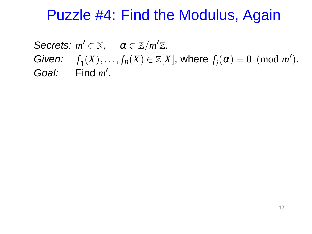## Puzzle #4: Find the Modulus, Again

Secrets:  $m' \in \mathbb{N}$ ,  $\alpha \in \mathbb{Z}/m'\mathbb{Z}$ . Given: *f*  $f_1(X), \ldots, f_n(X) \in \mathbb{Z}[X]$ , where  $f_i$  $(\alpha) \equiv 0 \pmod{m'}$ . Goal: Find  $m'$ .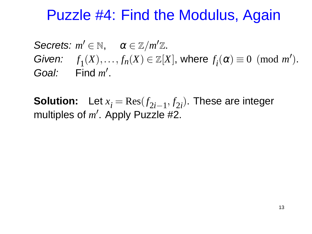## Puzzle #4: Find the Modulus, Again

Secrets:  $m' \in \mathbb{N}$ ,  $\alpha \in \mathbb{Z}/m'\mathbb{Z}$ . Given: *f*  $f_1(X), \ldots, f_n(X) \in \mathbb{Z}[X]$ , where  $f_i$  $(\alpha) \equiv 0 \pmod{m'}$ . Goal: Find  $m'$ .

**Solution:** Let  $x_i = \text{Res}(f_{2i-1})$ , *f* 2*i* ). These are integer multiples of  $m'$ . Apply Puzzle #2.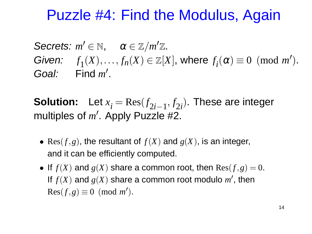## Puzzle #4: Find the Modulus, Again

Secrets:  $m' \in \mathbb{N}$ ,  $\alpha \in \mathbb{Z}/m'\mathbb{Z}$ . Given: *f*  $f_1(X), \ldots, f_n(X) \in \mathbb{Z}[X]$ , where  $f_i$  $(\alpha) \equiv 0 \pmod{m'}$ . Goal: Find  $m'$ .

**Solution:** Let  $x_i = \text{Res}(f_{2i-1})$ , *f* 2*i* ). These are integer multiples of  $m'$ . Apply Puzzle #2.

- Res( $f, g$ ), the resultant of  $f(X)$  and  $g(X)$ , is an integer, and it can be efficiently computed.
- If  $f(X)$  and  $g(X)$  share a common root, then  $Res(f,g) = 0$ . If  $f(X)$  and  $g(X)$  share a common root modulo  $m'$ , then  $Res(f, g) \equiv 0 \pmod{m'}$ .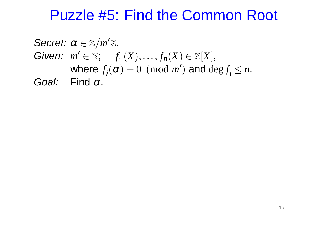## Puzzle #5: Find the Common Root

Secret:  $\alpha \in \mathbb{Z}/m'\mathbb{Z}$ . Given:  $m' \in \mathbb{N}$ ; f  $f_1(X),..., f_n(X) \in \mathbb{Z}[X],$ where *f i*  $(\alpha) \equiv 0 \pmod{m'}$  and  $\deg f_i \leq n$ . Goal: Find  $\alpha$ .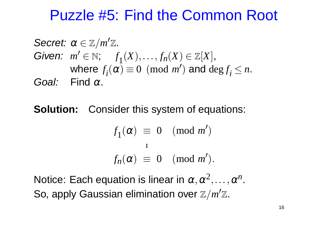## Puzzle #5: Find the Common Root

Secret:  $\alpha \in \mathbb{Z}/m'\mathbb{Z}$ . Given:  $m' \in \mathbb{N}$ ; f  $f_1(X),..., f_n(X) \in \mathbb{Z}[X],$ where *f i*  $(\alpha) \equiv 0 \pmod{m'}$  and  $\deg f_i \leq n$ . Goal: Find  $\alpha$ .

**Solution:** Consider this system of equations:

$$
f_1(\alpha) \equiv 0 \pmod{m'}
$$
  
i  

$$
f_n(\alpha) \equiv 0 \pmod{m'}.
$$

Notice: Each equation is linear in  $\alpha, \alpha^2, \ldots, \alpha^n$ . So, apply Gaussian elimination over  $\mathbb{Z}/m'\mathbb{Z}$ .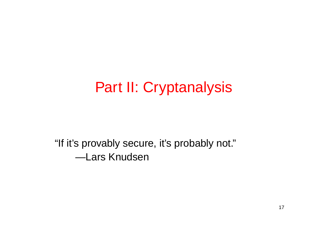# Part II: Cryptanalysis

"If it's provably secure, it's probably not." —Lars Knudsen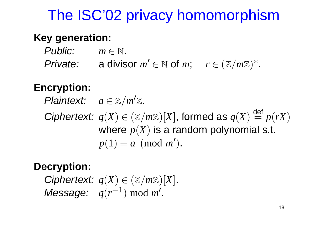# The ISC'02 privacy homomorphism

#### **Key generation:**

Public:  $m \in \mathbb{N}$ . Private: a divisor  $m' \in \mathbb{N}$  of  $m$ ;  $r \in (\mathbb{Z}/m\mathbb{Z})^*$ .

#### **Encryption:**

Plaintext:  $a \in \mathbb{Z}/m'\mathbb{Z}$ .

Ciphertext:  $q(X) \in (\mathbb{Z}/m\mathbb{Z})[X]$ , formed as  $q(X)$ def  $\equiv p(rX)$ where  $p(X)$  is a random polynomial s.t.  $p(1) \equiv a \pmod{m'}$ .

#### **Decryption:**

Ciphertext:  $q(X) \in (\mathbb{Z}/m\mathbb{Z})[X]$ .  $M$ essage:  $q(r^{-1}) \mod m'$ .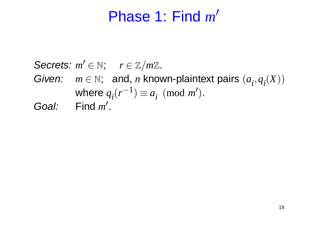#### Phase 1: Find *m*  $\overline{\mathcal{L}}$

### Secrets:  $m' \in \mathbb{N}$ ;  $r \in \mathbb{Z}/m\mathbb{Z}$ . Given:  $m \in \mathbb{N}$ ; and, *n* known-plaintext pairs  $(a_i, q_i(X))$ where  $q_i(r^{-1}) \equiv a_i \pmod{m'}$ . Goal: Find  $m'$ .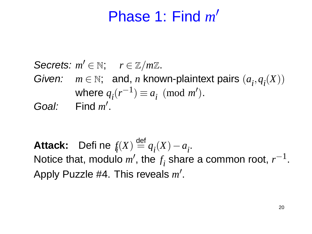#### Phase 1: Find *m*  $\overline{\mathcal{L}}$

### Secrets:  $m' \in \mathbb{N}$ ;  $r \in \mathbb{Z}/m\mathbb{Z}$ . Given:  $m \in \mathbb{N}$ ; and, *n* known-plaintext pairs  $(a_i, q_i(X))$ where  $q_i(r^{-1}) \equiv a_i \pmod{m'}$ . Goal: Find  $m'$ .

**Attack:** Define *f i* (*X*) def  $\stackrel{\text{def}}{=} q_i(X) - a_i$ . Notice that, modulo m', the f *i* share a common root,  $r^{-1}$ . Apply Puzzle #4. This reveals m'.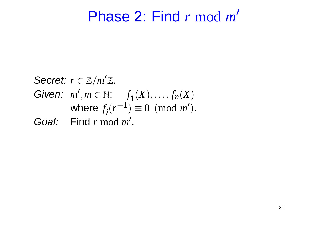#### Phase 2: Find *r* mod *m*  $\overline{\mathcal{C}}$

**Secret:** 
$$
r \in \mathbb{Z}/m'\mathbb{Z}
$$
.  
\n**Given:**  $m', m \in \mathbb{N}$ ;  $f_1(X), \ldots, f_n(X)$   
\nwhere  $f_i(r^{-1}) \equiv 0 \pmod{m'}$ .  
\n**Goal:** Find  $r \mod m'$ .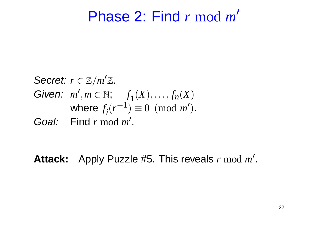#### Phase 2: Find *r* mod *m*  $\overline{\mathcal{C}}$

**Secret:** 
$$
r \in \mathbb{Z}/m'\mathbb{Z}
$$
.  
\nGiven:  $m', m \in \mathbb{N}$ ;  $f_1(X), \ldots, f_n(X)$   
\nwhere  $f_i(r^{-1}) \equiv 0 \pmod{m'}$ .  
\nGoal: Find  $r \mod m'$ .

Attack: Apply Puzzle #5. This reveals *r* mod *m'*.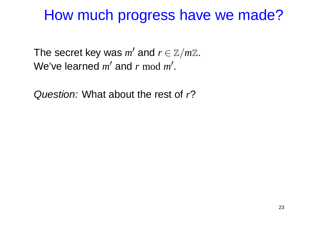## How much progress have we made?

The secret key was  $m'$  and  $r \in \mathbb{Z}/m\mathbb{Z}$ . We've learned *m'* and *r* mod *m'*.

Question: What about the rest of *r*?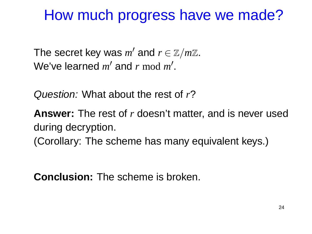## How much progress have we made?

The secret key was  $m'$  and  $r \in \mathbb{Z}/m\mathbb{Z}$ . We've learned *m'* and *r* mod *m'*.

Question: What about the rest of *r*?

**Answer:** The rest of *r* doesn't matter, and is never used during decryption. (Corollary: The scheme has many equivalent keys.)

**Conclusion:** The scheme is broken.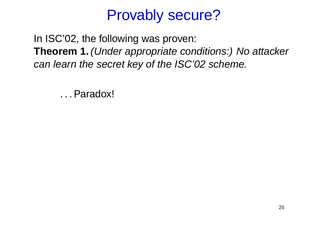# Provably secure?

In ISC'02, the following was proven: **Theorem 1.** (Under appropriate conditions:) No attacker can learn the secret key of the ISC'02 scheme.

. . .Paradox!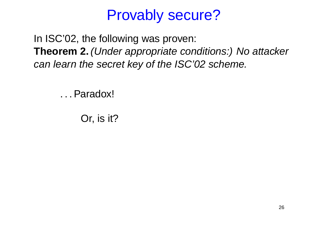# Provably secure?

In ISC'02, the following was proven: **Theorem 2.** (Under appropriate conditions:) No attacker can learn the secret key of the ISC'02 scheme.

. . .Paradox!

Or, is it?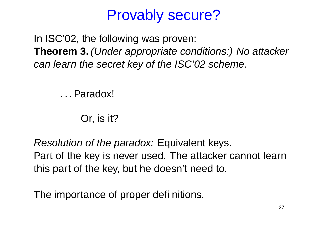# Provably secure?

In ISC'02, the following was proven: **Theorem 3.** (Under appropriate conditions:) No attacker can learn the secret key of the ISC'02 scheme.

. . .Paradox!

Or, is it?

Resolution of the paradox: Equivalent keys. Part of the key is never used. The attacker cannot learn this part of the key, but he doesn't need to.

The importance of proper definitions.